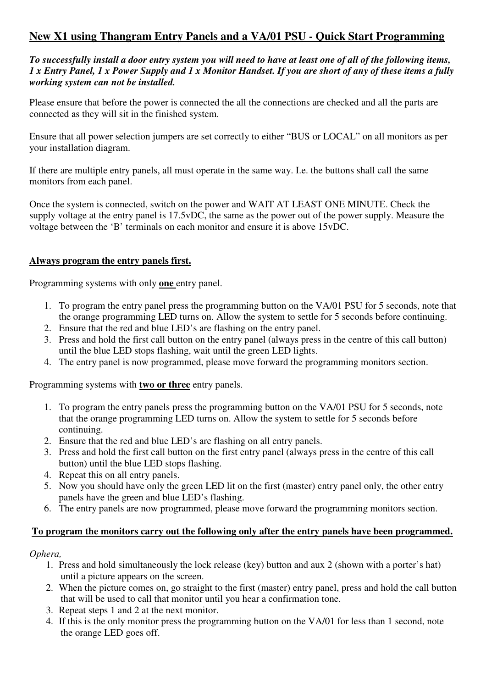# **New X1 using Thangram Entry Panels and a VA/01 PSU - Quick Start Programming**

*To successfully install a door entry system you will need to have at least one of all of the following items, 1 x Entry Panel, 1 x Power Supply and 1 x Monitor Handset. If you are short of any of these items a fully working system can not be installed.* 

Please ensure that before the power is connected the all the connections are checked and all the parts are connected as they will sit in the finished system.

Ensure that all power selection jumpers are set correctly to either "BUS or LOCAL" on all monitors as per your installation diagram.

If there are multiple entry panels, all must operate in the same way. I.e. the buttons shall call the same monitors from each panel.

Once the system is connected, switch on the power and WAIT AT LEAST ONE MINUTE. Check the supply voltage at the entry panel is 17.5vDC, the same as the power out of the power supply. Measure the voltage between the 'B' terminals on each monitor and ensure it is above 15vDC.

### **Always program the entry panels first.**

Programming systems with only **one** entry panel.

- 1. To program the entry panel press the programming button on the VA/01 PSU for 5 seconds, note that the orange programming LED turns on. Allow the system to settle for 5 seconds before continuing.
- 2. Ensure that the red and blue LED's are flashing on the entry panel.
- 3. Press and hold the first call button on the entry panel (always press in the centre of this call button) until the blue LED stops flashing, wait until the green LED lights.
- 4. The entry panel is now programmed, please move forward the programming monitors section.

Programming systems with **two or three** entry panels.

- 1. To program the entry panels press the programming button on the VA/01 PSU for 5 seconds, note that the orange programming LED turns on. Allow the system to settle for 5 seconds before continuing.
- 2. Ensure that the red and blue LED's are flashing on all entry panels.
- 3. Press and hold the first call button on the first entry panel (always press in the centre of this call button) until the blue LED stops flashing.
- 4. Repeat this on all entry panels.
- 5. Now you should have only the green LED lit on the first (master) entry panel only, the other entry panels have the green and blue LED's flashing.
- 6. The entry panels are now programmed, please move forward the programming monitors section.

#### **To program the monitors carry out the following only after the entry panels have been programmed.**

### *Ophera,*

- 1. Press and hold simultaneously the lock release (key) button and aux 2 (shown with a porter's hat) until a picture appears on the screen.
- 2. When the picture comes on, go straight to the first (master) entry panel, press and hold the call button that will be used to call that monitor until you hear a confirmation tone.
- 3. Repeat steps 1 and 2 at the next monitor.
- 4. If this is the only monitor press the programming button on the VA/01 for less than 1 second, note the orange LED goes off.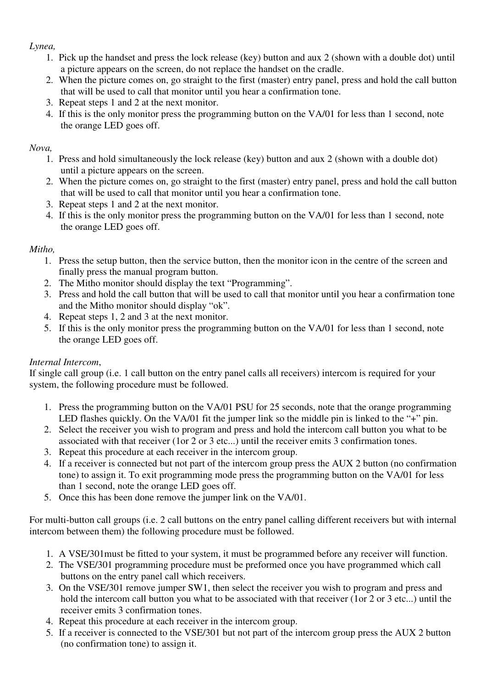### *Lynea,*

- 1. Pick up the handset and press the lock release (key) button and aux 2 (shown with a double dot) until a picture appears on the screen, do not replace the handset on the cradle.
- 2. When the picture comes on, go straight to the first (master) entry panel, press and hold the call button that will be used to call that monitor until you hear a confirmation tone.
- 3. Repeat steps 1 and 2 at the next monitor.
- 4. If this is the only monitor press the programming button on the VA/01 for less than 1 second, note the orange LED goes off.

### *Nova,*

- 1. Press and hold simultaneously the lock release (key) button and aux 2 (shown with a double dot) until a picture appears on the screen.
- 2. When the picture comes on, go straight to the first (master) entry panel, press and hold the call button that will be used to call that monitor until you hear a confirmation tone.
- 3. Repeat steps 1 and 2 at the next monitor.
- 4. If this is the only monitor press the programming button on the VA/01 for less than 1 second, note the orange LED goes off.

# *Mitho,*

- 1. Press the setup button, then the service button, then the monitor icon in the centre of the screen and finally press the manual program button.
- 2. The Mitho monitor should display the text "Programming".
- 3. Press and hold the call button that will be used to call that monitor until you hear a confirmation tone and the Mitho monitor should display "ok".
- 4. Repeat steps 1, 2 and 3 at the next monitor.
- 5. If this is the only monitor press the programming button on the VA/01 for less than 1 second, note the orange LED goes off.

# *Internal Intercom*,

If single call group (i.e. 1 call button on the entry panel calls all receivers) intercom is required for your system, the following procedure must be followed.

- 1. Press the programming button on the VA/01 PSU for 25 seconds, note that the orange programming LED flashes quickly. On the VA/01 fit the jumper link so the middle pin is linked to the "+" pin.
- 2. Select the receiver you wish to program and press and hold the intercom call button you what to be associated with that receiver (1or 2 or 3 etc...) until the receiver emits 3 confirmation tones.
- 3. Repeat this procedure at each receiver in the intercom group.
- 4. If a receiver is connected but not part of the intercom group press the AUX 2 button (no confirmation tone) to assign it. To exit programming mode press the programming button on the VA/01 for less than 1 second, note the orange LED goes off.
- 5. Once this has been done remove the jumper link on the VA/01.

For multi-button call groups (i.e. 2 call buttons on the entry panel calling different receivers but with internal intercom between them) the following procedure must be followed.

- 1. A VSE/301must be fitted to your system, it must be programmed before any receiver will function.
- 2. The VSE/301 programming procedure must be preformed once you have programmed which call buttons on the entry panel call which receivers.
- 3. On the VSE/301 remove jumper SW1, then select the receiver you wish to program and press and hold the intercom call button you what to be associated with that receiver (1or 2 or 3 etc...) until the receiver emits 3 confirmation tones.
- 4. Repeat this procedure at each receiver in the intercom group.
- 5. If a receiver is connected to the VSE/301 but not part of the intercom group press the AUX 2 button (no confirmation tone) to assign it.